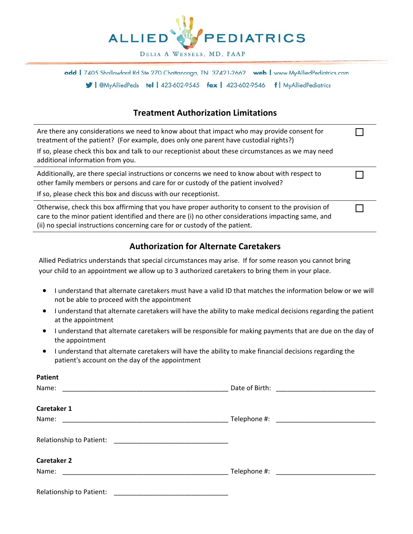

add | 7405 Shallowford Rd Ste 270 Chattanooga, TN 37421-2662 web | www.MyAlliedPediatrics.com Simular leaves and left work of leaves and the left AyAlliedPediatrics

## **Treatment Authorization Limitations**

| Are there any considerations we need to know about that impact who may provide consent for<br>treatment of the patient? (For example, does only one parent have custodial rights?)                                                                                                     |  |
|----------------------------------------------------------------------------------------------------------------------------------------------------------------------------------------------------------------------------------------------------------------------------------------|--|
| If so, please check this box and talk to our receptionist about these circumstances as we may need<br>additional information from you.                                                                                                                                                 |  |
| Additionally, are there special instructions or concerns we need to know about with respect to<br>other family members or persons and care for or custody of the patient involved?                                                                                                     |  |
| If so, please check this box and discuss with our receptionist.                                                                                                                                                                                                                        |  |
| Otherwise, check this box affirming that you have proper authority to consent to the provision of<br>care to the minor patient identified and there are (i) no other considerations impacting same, and<br>(ii) no special instructions concerning care for or custody of the patient. |  |

## **Authorization for Alternate Caretakers**

Allied Pediatrics understands that special circumstances may arise. If for some reason you cannot bring your child to an appointment we allow up to 3 authorized caretakers to bring them in your place.

- I understand that alternate caretakers must have a valid ID that matches the information below or we will not be able to proceed with the appointment
- I understand that alternate caretakers will have the ability to make medical decisions regarding the patient at the appointment
- I understand that alternate caretakers will be responsible for making payments that are due on the day of the appointment
- I understand that alternate caretakers will have the ability to make financial decisions regarding the patient's account on the day of the appointment

| <b>Patient</b>                                                                                                               |                                                                                                                                                                                                                                      |
|------------------------------------------------------------------------------------------------------------------------------|--------------------------------------------------------------------------------------------------------------------------------------------------------------------------------------------------------------------------------------|
| Name:                                                                                                                        |                                                                                                                                                                                                                                      |
| Caretaker 1                                                                                                                  |                                                                                                                                                                                                                                      |
| Name:                                                                                                                        |                                                                                                                                                                                                                                      |
| Relationship to Patient:                                                                                                     |                                                                                                                                                                                                                                      |
| <b>Caretaker 2</b>                                                                                                           |                                                                                                                                                                                                                                      |
| Name:<br><u> 1989 - Johann John Stoff, deutscher Stoffen und der Stoffen und der Stoffen und der Stoffen und der Stoffen</u> | Telephone #: <u>contract and the set of the set of the set of the set of the set of the set of the set of the set of the set of the set of the set of the set of the set of the set of the set of the set of the set of the set </u> |
| Relationship to Patient:                                                                                                     |                                                                                                                                                                                                                                      |